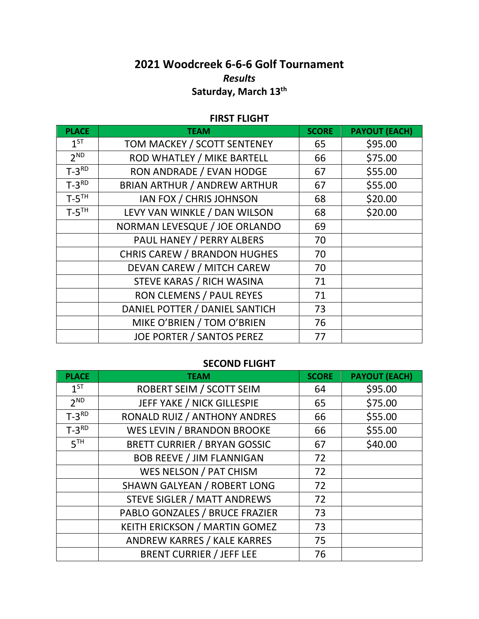## **2021 Woodcreek 6-6-6 Golf Tournament** *Results* **Saturday, March 13th**

## **FIRST FLIGHT**

| <b>PLACE</b>        | <b>TEAM</b>                         | <b>SCORE</b> | <b>PAYOUT (EACH)</b> |
|---------------------|-------------------------------------|--------------|----------------------|
| $1^{ST}$            | TOM MACKEY / SCOTT SENTENEY         | 65           | \$95.00              |
| 2 <sup>ND</sup>     | ROD WHATLEY / MIKE BARTELL          | 66           | \$75.00              |
| $T-3^{RD}$          | RON ANDRADE / EVAN HODGE            | 67           | \$55.00              |
| $T-3^{RD}$          | <b>BRIAN ARTHUR / ANDREW ARTHUR</b> | 67           | \$55.00              |
| $T-5$ <sup>TH</sup> | IAN FOX / CHRIS JOHNSON             | 68           | \$20.00              |
| $T-5$ <sup>TH</sup> | LEVY VAN WINKLE / DAN WILSON        | 68           | \$20.00              |
|                     | NORMAN LEVESQUE / JOE ORLANDO       | 69           |                      |
|                     | PAUL HANEY / PERRY ALBERS           | 70           |                      |
|                     | <b>CHRIS CAREW / BRANDON HUGHES</b> | 70           |                      |
|                     | DEVAN CAREW / MITCH CAREW           | 70           |                      |
|                     | STEVE KARAS / RICH WASINA           | 71           |                      |
|                     | RON CLEMENS / PAUL REYES            | 71           |                      |
|                     | DANIEL POTTER / DANIEL SANTICH      | 73           |                      |
|                     | MIKE O'BRIEN / TOM O'BRIEN          | 76           |                      |
|                     | <b>JOE PORTER / SANTOS PEREZ</b>    | 77           |                      |

## **SECOND FLIGHT**

| <b>PLACE</b>    | <b>TEAM</b>                         | <b>SCORE</b> | <b>PAYOUT (EACH)</b> |
|-----------------|-------------------------------------|--------------|----------------------|
| 1 <sup>ST</sup> | ROBERT SEIM / SCOTT SEIM            | 64           | \$95.00              |
| 2 <sup>ND</sup> | JEFF YAKE / NICK GILLESPIE          | 65           | \$75.00              |
| $T-3^{RD}$      | RONALD RUIZ / ANTHONY ANDRES        | 66           | \$55.00              |
| $T-3^{RD}$      | WES LEVIN / BRANDON BROOKE          | 66           | \$55.00              |
| 5 <sup>TH</sup> | <b>BRETT CURRIER / BRYAN GOSSIC</b> | 67           | \$40.00              |
|                 | <b>BOB REEVE / JIM FLANNIGAN</b>    | 72           |                      |
|                 | WES NELSON / PAT CHISM              | 72           |                      |
|                 | <b>SHAWN GALYEAN / ROBERT LONG</b>  | 72           |                      |
|                 | <b>STEVE SIGLER / MATT ANDREWS</b>  | 72           |                      |
|                 | PABLO GONZALES / BRUCE FRAZIER      | 73           |                      |
|                 | KEITH ERICKSON / MARTIN GOMEZ       | 73           |                      |
|                 | ANDREW KARRES / KALE KARRES         | 75           |                      |
|                 | <b>BRENT CURRIER / JEFF LEE</b>     | 76           |                      |